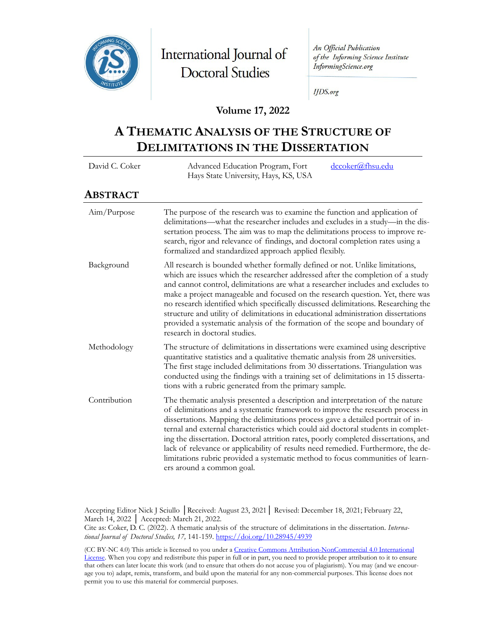

International Journal of **Doctoral Studies** 

An Official Publication of the Informing Science Institute InformingScience.org

**IJDS.org** 

## **Volume 17, 2022**

# **A THEMATIC ANALYSIS OF THE STRUCTURE OF DELIMITATIONS IN THE DISSERTATION**

| David C. Coker | dccoker@fhsu.edu<br>Advanced Education Program, Fort<br>Hays State University, Hays, KS, USA                                                                                                                                                                                                                                                                                                                                                                                                                                                                                                                                         |  |  |
|----------------|--------------------------------------------------------------------------------------------------------------------------------------------------------------------------------------------------------------------------------------------------------------------------------------------------------------------------------------------------------------------------------------------------------------------------------------------------------------------------------------------------------------------------------------------------------------------------------------------------------------------------------------|--|--|
| ABSTRACT       |                                                                                                                                                                                                                                                                                                                                                                                                                                                                                                                                                                                                                                      |  |  |
| Aim/Purpose    | The purpose of the research was to examine the function and application of<br>delimitations—what the researcher includes and excludes in a study—in the dis-<br>sertation process. The aim was to map the delimitations process to improve re-<br>search, rigor and relevance of findings, and doctoral completion rates using a<br>formalized and standardized approach applied flexibly.                                                                                                                                                                                                                                           |  |  |
| Background     | All research is bounded whether formally defined or not. Unlike limitations,<br>which are issues which the researcher addressed after the completion of a study<br>and cannot control, delimitations are what a researcher includes and excludes to<br>make a project manageable and focused on the research question. Yet, there was<br>no research identified which specifically discussed delimitations. Researching the<br>structure and utility of delimitations in educational administration dissertations<br>provided a systematic analysis of the formation of the scope and boundary of<br>research in doctoral studies.   |  |  |
| Methodology    | The structure of delimitations in dissertations were examined using descriptive<br>quantitative statistics and a qualitative thematic analysis from 28 universities.<br>The first stage included delimitations from 30 dissertations. Triangulation was<br>conducted using the findings with a training set of delimitations in 15 disserta-<br>tions with a rubric generated from the primary sample.                                                                                                                                                                                                                               |  |  |
| Contribution   | The thematic analysis presented a description and interpretation of the nature<br>of delimitations and a systematic framework to improve the research process in<br>dissertations. Mapping the delimitations process gave a detailed portrait of in-<br>ternal and external characteristics which could aid doctoral students in complet-<br>ing the dissertation. Doctoral attrition rates, poorly completed dissertations, and<br>lack of relevance or applicability of results need remedied. Furthermore, the de-<br>limitations rubric provided a systematic method to focus communities of learn-<br>ers around a common goal. |  |  |

Accepting Editor Nick J Sciullo │Received: August 23, 2021│ Revised: December 18, 2021; February 22, March 14, 2022 │ Accepted: March 21, 2022.

Cite as: Coker, D. C. (2022). A thematic analysis of the structure of delimitations in the dissertation. *International Journal of Doctoral Studies, 17,* 141-159[. https://doi.org/10.28945/4939](https://doi.org/10.28945/4939)

(CC BY-NC 4.0) This article is licensed to you under a [Creative Commons Attribution](https://creativecommons.org/licenses/by-nc/4.0/)-NonCommercial 4.0 International [License.](https://creativecommons.org/licenses/by-nc/4.0/) When you copy and redistribute this paper in full or in part, you need to provide proper attribution to it to ensure that others can later locate this work (and to ensure that others do not accuse you of plagiarism). You may (and we encourage you to) adapt, remix, transform, and build upon the material for any non-commercial purposes. This license does not permit you to use this material for commercial purposes.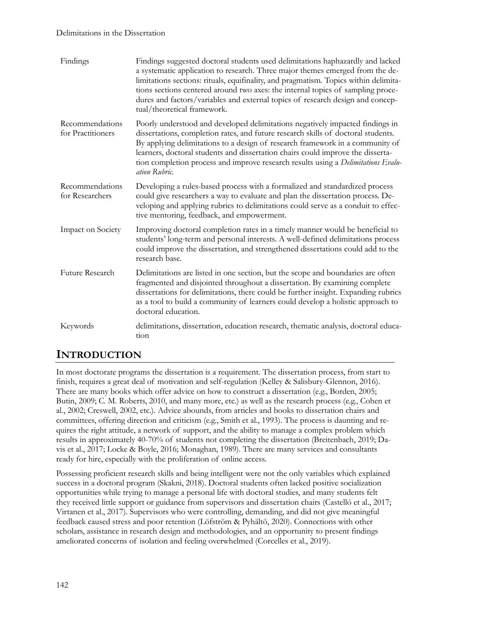#### Delimitations in the Dissertation

| Findings                             | Findings suggested doctoral students used delimitations haphazardly and lacked<br>a systematic application to research. Three major themes emerged from the de-<br>limitations sections: rituals, equifinality, and pragmatism. Topics within delimita-<br>tions sections centered around two axes: the internal topics of sampling proce-<br>dures and factors/variables and external topics of research design and concep-<br>tual/theoretical framework. |
|--------------------------------------|-------------------------------------------------------------------------------------------------------------------------------------------------------------------------------------------------------------------------------------------------------------------------------------------------------------------------------------------------------------------------------------------------------------------------------------------------------------|
| Recommendations<br>for Practitioners | Poorly understood and developed delimitations negatively impacted findings in<br>dissertations, completion rates, and future research skills of doctoral students.<br>By applying delimitations to a design of research framework in a community of<br>learners, doctoral students and dissertation chairs could improve the disserta-<br>tion completion process and improve research results using a Delimitations Evalu-<br>ation Rubric.                |
| Recommendations<br>for Researchers   | Developing a rules-based process with a formalized and standardized process<br>could give researchers a way to evaluate and plan the dissertation process. De-<br>veloping and applying rubrics to delimitations could serve as a conduit to effec-<br>tive mentoring, feedback, and empowerment.                                                                                                                                                           |
| Impact on Society                    | Improving doctoral completion rates in a timely manner would be beneficial to<br>students' long-term and personal interests. A well-defined delimitations process<br>could improve the dissertation, and strengthened dissertations could add to the<br>research base.                                                                                                                                                                                      |
| Future Research                      | Delimitations are listed in one section, but the scope and boundaries are often<br>fragmented and disjointed throughout a dissertation. By examining complete<br>dissertations for delimitations, there could be further insight. Expanding rubrics<br>as a tool to build a community of learners could develop a holistic approach to<br>doctoral education.                                                                                               |
| Keywords                             | delimitations, dissertation, education research, thematic analysis, doctoral educa-<br>tion                                                                                                                                                                                                                                                                                                                                                                 |

## **INTRODUCTION**

In most doctorate programs the dissertation is a requirement. The dissertation process, from start to finish, requires a great deal of motivation and self-regulation (Kelley & Salisbury-Glennon, 2016). There are many books which offer advice on how to construct a dissertation (e.g., Borden, 2005; Butin, 2009; C. M. Roberts, 2010, and many more, etc.) as well as the research process (e.g., Cohen et al., 2002; Creswell, 2002, etc.). Advice abounds, from articles and books to dissertation chairs and committees, offering direction and criticism (e.g., Smith et al., 1993). The process is daunting and requires the right attitude, a network of support, and the ability to manage a complex problem which results in approximately 40-70% of students not completing the dissertation (Breitenbach, 2019; Davis et al., 2017; Locke & Boyle, 2016; Monaghan, 1989). There are many services and consultants ready for hire, especially with the proliferation of online access.

Possessing proficient research skills and being intelligent were not the only variables which explained success in a doctoral program (Skakni, 2018). Doctoral students often lacked positive socialization opportunities while trying to manage a personal life with doctoral studies, and many students felt they received little support or guidance from supervisors and dissertation chairs (Castelló et al., 2017; Virtanen et al., 2017). Supervisors who were controlling, demanding, and did not give meaningful feedback caused stress and poor retention (Löfström & Pyhältö, 2020). Connections with other scholars, assistance in research design and methodologies, and an opportunity to present findings ameliorated concerns of isolation and feeling overwhelmed (Corcelles et al., 2019).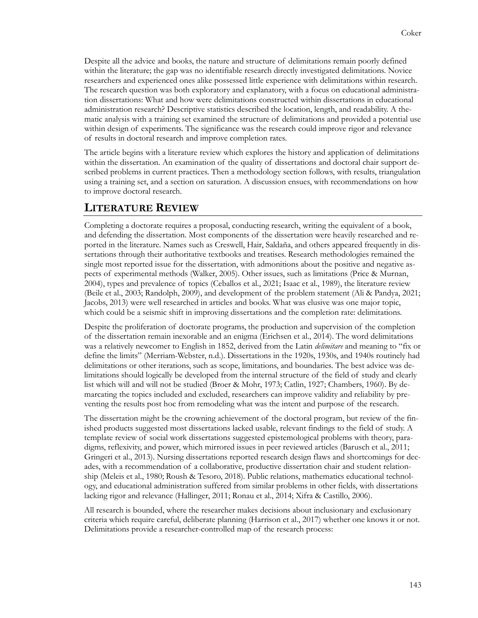Despite all the advice and books, the nature and structure of delimitations remain poorly defined within the literature; the gap was no identifiable research directly investigated delimitations. Novice researchers and experienced ones alike possessed little experience with delimitations within research. The research question was both exploratory and explanatory, with a focus on educational administration dissertations: What and how were delimitations constructed within dissertations in educational administration research? Descriptive statistics described the location, length, and readability. A thematic analysis with a training set examined the structure of delimitations and provided a potential use within design of experiments. The significance was the research could improve rigor and relevance of results in doctoral research and improve completion rates.

The article begins with a literature review which explores the history and application of delimitations within the dissertation. An examination of the quality of dissertations and doctoral chair support described problems in current practices. Then a methodology section follows, with results, triangulation using a training set, and a section on saturation. A discussion ensues, with recommendations on how to improve doctoral research.

## **LITERATURE REVIEW**

Completing a doctorate requires a proposal, conducting research, writing the equivalent of a book, and defending the dissertation. Most components of the dissertation were heavily researched and reported in the literature. Names such as Creswell, Hair, Saldaña, and others appeared frequently in dissertations through their authoritative textbooks and treatises. Research methodologies remained the single most reported issue for the dissertation, with admonitions about the positive and negative aspects of experimental methods (Walker, 2005). Other issues, such as limitations (Price & Murnan, 2004), types and prevalence of topics (Ceballos et al., 2021; Isaac et al., 1989), the literature review (Beile et al., 2003; Randolph, 2009), and development of the problem statement (Ali & Pandya, 2021; Jacobs, 2013) were well researched in articles and books. What was elusive was one major topic, which could be a seismic shift in improving dissertations and the completion rate: delimitations.

Despite the proliferation of doctorate programs, the production and supervision of the completion of the dissertation remain inexorable and an enigma (Erichsen et al., 2014). The word delimitations was a relatively newcomer to English in 1852, derived from the Latin *delimitare* and meaning to "fix or define the limits" (Merriam-Webster, n.d.). Dissertations in the 1920s, 1930s, and 1940s routinely had delimitations or other iterations, such as scope, limitations, and boundaries. The best advice was delimitations should logically be developed from the internal structure of the field of study and clearly list which will and will not be studied (Broer & Mohr, 1973; Catlin, 1927; Chambers, 1960). By demarcating the topics included and excluded, researchers can improve validity and reliability by preventing the results post hoc from remodeling what was the intent and purpose of the research.

The dissertation might be the crowning achievement of the doctoral program, but review of the finished products suggested most dissertations lacked usable, relevant findings to the field of study. A template review of social work dissertations suggested epistemological problems with theory, paradigms, reflexivity, and power, which mirrored issues in peer reviewed articles (Barusch et al., 2011; Gringeri et al., 2013). Nursing dissertations reported research design flaws and shortcomings for decades, with a recommendation of a collaborative, productive dissertation chair and student relationship (Meleis et al., 1980; Roush & Tesoro, 2018). Public relations, mathematics educational technology, and educational administration suffered from similar problems in other fields, with dissertations lacking rigor and relevance (Hallinger, 2011; Ronau et al., 2014; Xifra & Castillo, 2006).

All research is bounded, where the researcher makes decisions about inclusionary and exclusionary criteria which require careful, deliberate planning (Harrison et al., 2017) whether one knows it or not. Delimitations provide a researcher-controlled map of the research process: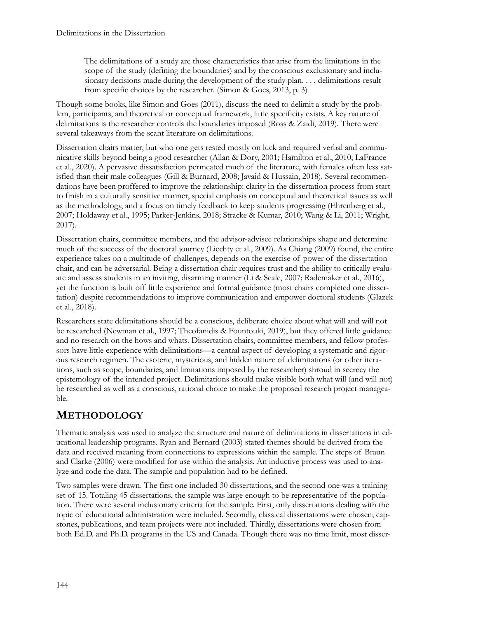The delimitations of a study are those characteristics that arise from the limitations in the scope of the study (defining the boundaries) and by the conscious exclusionary and inclusionary decisions made during the development of the study plan. . . . delimitations result from specific choices by the researcher. (Simon & Goes, 2013, p. 3)

Though some books, like Simon and Goes (2011), discuss the need to delimit a study by the problem, participants, and theoretical or conceptual framework, little specificity exists. A key nature of delimitations is the researcher controls the boundaries imposed (Ross & Zaidi, 2019). There were several takeaways from the scant literature on delimitations.

Dissertation chairs matter, but who one gets rested mostly on luck and required verbal and communicative skills beyond being a good researcher (Allan & Dory, 2001; Hamilton et al., 2010; LaFrance et al., 2020). A pervasive dissatisfaction permeated much of the literature, with females often less satisfied than their male colleagues (Gill & Burnard, 2008; Javaid & Hussain, 2018). Several recommendations have been proffered to improve the relationship: clarity in the dissertation process from start to finish in a culturally sensitive manner, special emphasis on conceptual and theoretical issues as well as the methodology, and a focus on timely feedback to keep students progressing (Ehrenberg et al., 2007; Holdaway et al., 1995; Parker-Jenkins, 2018; Stracke & Kumar, 2010; Wang & Li, 2011; Wright, 2017).

Dissertation chairs, committee members, and the advisor-advisee relationships shape and determine much of the success of the doctoral journey (Liechty et al., 2009). As Chiang (2009) found, the entire experience takes on a multitude of challenges, depends on the exercise of power of the dissertation chair, and can be adversarial. Being a dissertation chair requires trust and the ability to critically evaluate and assess students in an inviting, disarming manner (Li & Seale, 2007; Rademaker et al., 2016), yet the function is built off little experience and formal guidance (most chairs completed one dissertation) despite recommendations to improve communication and empower doctoral students (Glazek et al., 2018).

Researchers state delimitations should be a conscious, deliberate choice about what will and will not be researched (Newman et al., 1997; Theofanidis & Fountouki, 2019), but they offered little guidance and no research on the hows and whats. Dissertation chairs, committee members, and fellow professors have little experience with delimitations—a central aspect of developing a systematic and rigorous research regimen. The esoteric, mysterious, and hidden nature of delimitations (or other iterations, such as scope, boundaries, and limitations imposed by the researcher) shroud in secrecy the epistemology of the intended project. Delimitations should make visible both what will (and will not) be researched as well as a conscious, rational choice to make the proposed research project manageable.

# **METHODOLOGY**

Thematic analysis was used to analyze the structure and nature of delimitations in dissertations in educational leadership programs. Ryan and Bernard (2003) stated themes should be derived from the data and received meaning from connections to expressions within the sample. The steps of Braun and Clarke (2006) were modified for use within the analysis. An inductive process was used to analyze and code the data. The sample and population had to be defined.

Two samples were drawn. The first one included 30 dissertations, and the second one was a training set of 15. Totaling 45 dissertations, the sample was large enough to be representative of the population. There were several inclusionary criteria for the sample. First, only dissertations dealing with the topic of educational administration were included. Secondly, classical dissertations were chosen; capstones, publications, and team projects were not included. Thirdly, dissertations were chosen from both Ed.D. and Ph.D. programs in the US and Canada. Though there was no time limit, most disser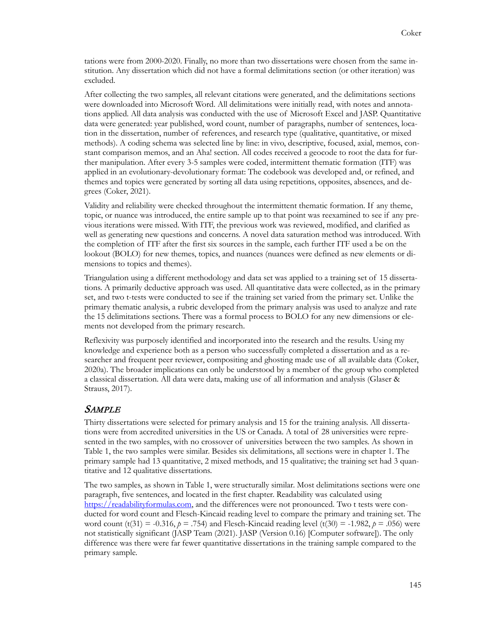tations were from 2000-2020. Finally, no more than two dissertations were chosen from the same institution. Any dissertation which did not have a formal delimitations section (or other iteration) was excluded.

After collecting the two samples, all relevant citations were generated, and the delimitations sections were downloaded into Microsoft Word. All delimitations were initially read, with notes and annotations applied. All data analysis was conducted with the use of Microsoft Excel and JASP. Quantitative data were generated: year published, word count, number of paragraphs, number of sentences, location in the dissertation, number of references, and research type (qualitative, quantitative, or mixed methods). A coding schema was selected line by line: in vivo, descriptive, focused, axial, memos, constant comparison memos, and an Aha! section. All codes received a geocode to root the data for further manipulation. After every 3-5 samples were coded, intermittent thematic formation (ITF) was applied in an evolutionary-devolutionary format: The codebook was developed and, or refined, and themes and topics were generated by sorting all data using repetitions, opposites, absences, and degrees (Coker, 2021).

Validity and reliability were checked throughout the intermittent thematic formation. If any theme, topic, or nuance was introduced, the entire sample up to that point was reexamined to see if any previous iterations were missed. With ITF, the previous work was reviewed, modified, and clarified as well as generating new questions and concerns. A novel data saturation method was introduced. With the completion of ITF after the first six sources in the sample, each further ITF used a be on the lookout (BOLO) for new themes, topics, and nuances (nuances were defined as new elements or dimensions to topics and themes).

Triangulation using a different methodology and data set was applied to a training set of 15 dissertations. A primarily deductive approach was used. All quantitative data were collected, as in the primary set, and two t-tests were conducted to see if the training set varied from the primary set. Unlike the primary thematic analysis, a rubric developed from the primary analysis was used to analyze and rate the 15 delimitations sections. There was a formal process to BOLO for any new dimensions or elements not developed from the primary research.

Reflexivity was purposely identified and incorporated into the research and the results. Using my knowledge and experience both as a person who successfully completed a dissertation and as a researcher and frequent peer reviewer, compositing and ghosting made use of all available data (Coker, 2020a). The broader implications can only be understood by a member of the group who completed a classical dissertation. All data were data, making use of all information and analysis (Glaser & Strauss, 2017).

## SAMPLE

Thirty dissertations were selected for primary analysis and 15 for the training analysis. All dissertations were from accredited universities in the US or Canada. A total of 28 universities were represented in the two samples, with no crossover of universities between the two samples. As shown in Table 1, the two samples were similar. Besides six delimitations, all sections were in chapter 1. The primary sample had 13 quantitative, 2 mixed methods, and 15 qualitative; the training set had 3 quantitative and 12 qualitative dissertations.

The two samples, as shown in Table 1, were structurally similar. Most delimitations sections were one paragraph, five sentences, and located in the first chapter. Readability was calculated using [https://readabilityformulas.com,](https://readabilityformulas.com/) and the differences were not pronounced. Two t tests were conducted for word count and Flesch-Kincaid reading level to compare the primary and training set. The word count (t(31) = -0.316,  $p = .754$ ) and Flesch-Kincaid reading level (t(30) = -1.982,  $p = .056$ ) were not statistically significant (JASP Team (2021). JASP (Version 0.16) [Computer software]). The only difference was there were far fewer quantitative dissertations in the training sample compared to the primary sample.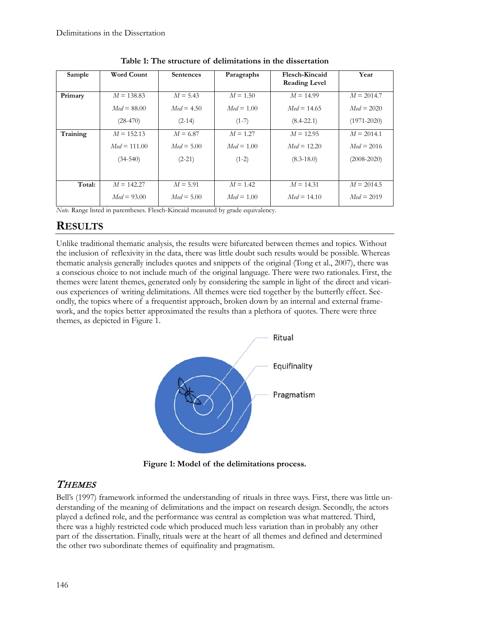| Sample   | <b>Word Count</b> | <b>Sentences</b> | Paragraphs   | Flesch-Kincaid<br><b>Reading Level</b> | Year            |
|----------|-------------------|------------------|--------------|----------------------------------------|-----------------|
| Primary  | $M = 138.83$      | $M = 5.43$       | $M = 1.50$   | $M = 14.99$                            | $M = 2014.7$    |
|          | $Med = 88.00$     | $Med = 4.50$     | $Med = 1.00$ | $Med = 14.65$                          | $Med = 2020$    |
|          | $(28-470)$        | $(2-14)$         | $(1-7)$      | $(8.4 - 22.1)$                         | $(1971 - 2020)$ |
| Training | $M = 152.13$      | $M = 6.87$       | $M = 1.27$   | $M = 12.95$                            | $M = 2014.1$    |
|          | $Med = 111.00$    | $Med = 5.00$     | $Med = 1.00$ | $Med = 12.20$                          | $Med = 2016$    |
|          | $(34-540)$        | $(2-21)$         | $(1-2)$      | $(8.3 - 18.0)$                         | $(2008 - 2020)$ |
|          |                   |                  |              |                                        |                 |
| Total:   | $M = 142.27$      | $M = 5.91$       | $M = 1.42$   | $M = 14.31$                            | $M = 2014.5$    |
|          | $Med = 93.00$     | $Med = 5.00$     | $Med = 1.00$ | $Med = 14.10$                          | $Med = 2019$    |

**Table 1: The structure of delimitations in the dissertation**

*Note.* Range listed in parentheses. Flesch-Kincaid measured by grade equivalency.

## **RESULTS**

Unlike traditional thematic analysis, the results were bifurcated between themes and topics. Without the inclusion of reflexivity in the data, there was little doubt such results would be possible. Whereas thematic analysis generally includes quotes and snippets of the original (Tong et al., 2007), there was a conscious choice to not include much of the original language. There were two rationales. First, the themes were latent themes, generated only by considering the sample in light of the direct and vicarious experiences of writing delimitations. All themes were tied together by the butterfly effect. Secondly, the topics where of a frequentist approach, broken down by an internal and external framework, and the topics better approximated the results than a plethora of quotes. There were three themes, as depicted in Figure 1.



**Figure 1: Model of the delimitations process.**

## **THEMES**

Bell's (1997) framework informed the understanding of rituals in three ways. First, there was little understanding of the meaning of delimitations and the impact on research design. Secondly, the actors played a defined role, and the performance was central as completion was what mattered. Third, there was a highly restricted code which produced much less variation than in probably any other part of the dissertation. Finally, rituals were at the heart of all themes and defined and determined the other two subordinate themes of equifinality and pragmatism.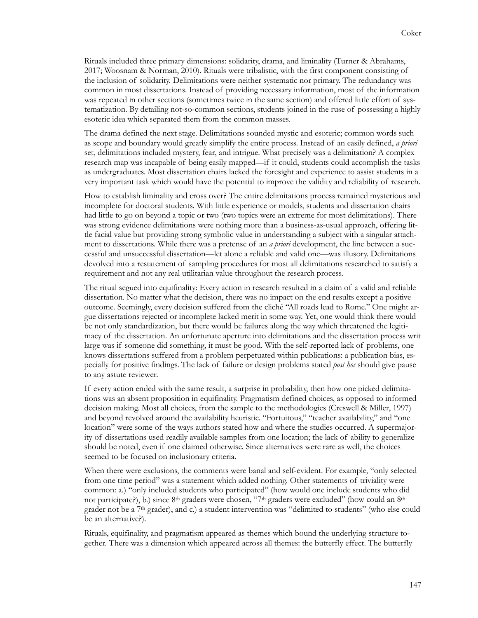Rituals included three primary dimensions: solidarity, drama, and liminality (Turner & Abrahams, 2017; Woosnam & Norman, 2010). Rituals were tribalistic, with the first component consisting of the inclusion of solidarity. Delimitations were neither systematic nor primary. The redundancy was common in most dissertations. Instead of providing necessary information, most of the information was repeated in other sections (sometimes twice in the same section) and offered little effort of systematization. By detailing not-so-common sections, students joined in the ruse of possessing a highly esoteric idea which separated them from the common masses.

The drama defined the next stage. Delimitations sounded mystic and esoteric; common words such as scope and boundary would greatly simplify the entire process. Instead of an easily defined, *a priori* set, delimitations included mystery, fear, and intrigue. What precisely was a delimitation? A complex research map was incapable of being easily mapped—if it could, students could accomplish the tasks as undergraduates. Most dissertation chairs lacked the foresight and experience to assist students in a very important task which would have the potential to improve the validity and reliability of research.

How to establish liminality and cross over? The entire delimitations process remained mysterious and incomplete for doctoral students. With little experience or models, students and dissertation chairs had little to go on beyond a topic or two (two topics were an extreme for most delimitations). There was strong evidence delimitations were nothing more than a business-as-usual approach, offering little facial value but providing strong symbolic value in understanding a subject with a singular attachment to dissertations. While there was a pretense of an *a priori* development, the line between a successful and unsuccessful dissertation—let alone a reliable and valid one—was illusory. Delimitations devolved into a restatement of sampling procedures for most all delimitations researched to satisfy a requirement and not any real utilitarian value throughout the research process.

The ritual segued into equifinality: Every action in research resulted in a claim of a valid and reliable dissertation. No matter what the decision, there was no impact on the end results except a positive outcome. Seemingly, every decision suffered from the cliché "All roads lead to Rome." One might argue dissertations rejected or incomplete lacked merit in some way. Yet, one would think there would be not only standardization, but there would be failures along the way which threatened the legitimacy of the dissertation. An unfortunate aperture into delimitations and the dissertation process writ large was if someone did something, it must be good. With the self-reported lack of problems, one knows dissertations suffered from a problem perpetuated within publications: a publication bias, especially for positive findings. The lack of failure or design problems stated *post hoc* should give pause to any astute reviewer.

If every action ended with the same result, a surprise in probability, then how one picked delimitations was an absent proposition in equifinality. Pragmatism defined choices, as opposed to informed decision making. Most all choices, from the sample to the methodologies (Creswell & Miller, 1997) and beyond revolved around the availability heuristic. "Fortuitous," "teacher availability," and "one location" were some of the ways authors stated how and where the studies occurred. A supermajority of dissertations used readily available samples from one location; the lack of ability to generalize should be noted, even if one claimed otherwise. Since alternatives were rare as well, the choices seemed to be focused on inclusionary criteria.

When there were exclusions, the comments were banal and self-evident. For example, "only selected from one time period" was a statement which added nothing. Other statements of triviality were common: a.) "only included students who participated" (how would one include students who did not participate?), b.) since  $8<sup>th</sup>$  graders were chosen, "7<sup>th</sup> graders were excluded" (how could an  $8<sup>th</sup>$ grader not be a 7th grader), and c.) a student intervention was "delimited to students" (who else could be an alternative?).

Rituals, equifinality, and pragmatism appeared as themes which bound the underlying structure together. There was a dimension which appeared across all themes: the butterfly effect. The butterfly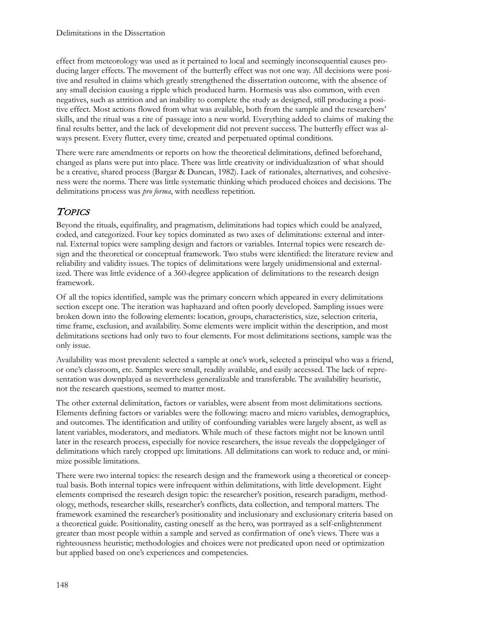effect from meteorology was used as it pertained to local and seemingly inconsequential causes producing larger effects. The movement of the butterfly effect was not one way. All decisions were positive and resulted in claims which greatly strengthened the dissertation outcome, with the absence of any small decision causing a ripple which produced harm. Hormesis was also common, with even negatives, such as attrition and an inability to complete the study as designed, still producing a positive effect. Most actions flowed from what was available, both from the sample and the researchers' skills, and the ritual was a rite of passage into a new world. Everything added to claims of making the final results better, and the lack of development did not prevent success. The butterfly effect was always present. Every flutter, every time, created and perpetuated optimal conditions.

There were rare amendments or reports on how the theoretical delimitations, defined beforehand, changed as plans were put into place. There was little creativity or individualization of what should be a creative, shared process (Bargar & Duncan, 1982). Lack of rationales, alternatives, and cohesiveness were the norms. There was little systematic thinking which produced choices and decisions. The delimitations process was *pro forma*, with needless repetition.

## **TOPICS**

Beyond the rituals, equifinality, and pragmatism, delimitations had topics which could be analyzed, coded, and categorized. Four key topics dominated as two axes of delimitations: external and internal. External topics were sampling design and factors or variables. Internal topics were research design and the theoretical or conceptual framework. Two stubs were identified: the literature review and reliability and validity issues. The topics of delimitations were largely unidimensional and externalized. There was little evidence of a 360-degree application of delimitations to the research design framework.

Of all the topics identified, sample was the primary concern which appeared in every delimitations section except one. The iteration was haphazard and often poorly developed. Sampling issues were broken down into the following elements: location, groups, characteristics, size, selection criteria, time frame, exclusion, and availability. Some elements were implicit within the description, and most delimitations sections had only two to four elements. For most delimitations sections, sample was the only issue.

Availability was most prevalent: selected a sample at one's work, selected a principal who was a friend, or one's classroom, etc. Samples were small, readily available, and easily accessed. The lack of representation was downplayed as nevertheless generalizable and transferable. The availability heuristic, not the research questions, seemed to matter most.

The other external delimitation, factors or variables, were absent from most delimitations sections. Elements defining factors or variables were the following: macro and micro variables, demographics, and outcomes. The identification and utility of confounding variables were largely absent, as well as latent variables, moderators, and mediators. While much of these factors might not be known until later in the research process, especially for novice researchers, the issue reveals the doppelgänger of delimitations which rarely cropped up: limitations. All delimitations can work to reduce and, or minimize possible limitations.

There were two internal topics: the research design and the framework using a theoretical or conceptual basis. Both internal topics were infrequent within delimitations, with little development. Eight elements comprised the research design topic: the researcher's position, research paradigm, methodology, methods, researcher skills, researcher's conflicts, data collection, and temporal matters. The framework examined the researcher's positionality and inclusionary and exclusionary criteria based on a theoretical guide. Positionality, casting oneself as the hero, was portrayed as a self-enlightenment greater than most people within a sample and served as confirmation of one's views. There was a righteousness heuristic; methodologies and choices were not predicated upon need or optimization but applied based on one's experiences and competencies.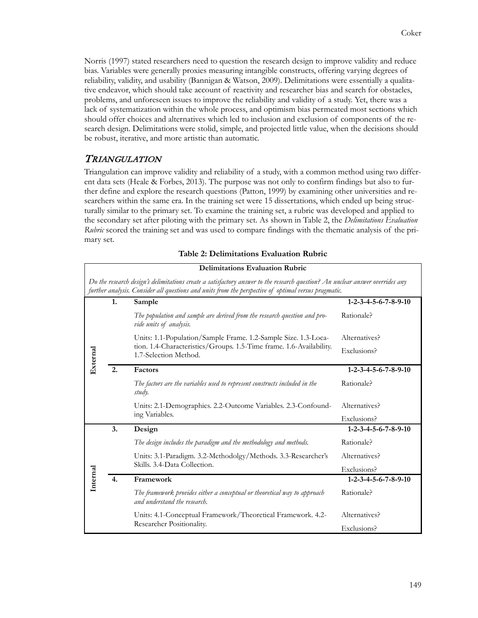Norris (1997) stated researchers need to question the research design to improve validity and reduce bias. Variables were generally proxies measuring intangible constructs, offering varying degrees of reliability, validity, and usability (Bannigan & Watson, 2009). Delimitations were essentially a qualitative endeavor, which should take account of reactivity and researcher bias and search for obstacles, problems, and unforeseen issues to improve the reliability and validity of a study. Yet, there was a lack of systematization within the whole process, and optimism bias permeated most sections which should offer choices and alternatives which led to inclusion and exclusion of components of the research design. Delimitations were stolid, simple, and projected little value, when the decisions should be robust, iterative, and more artistic than automatic.

## TRIANGULATION

Triangulation can improve validity and reliability of a study, with a common method using two different data sets (Heale & Forbes, 2013). The purpose was not only to confirm findings but also to further define and explore the research questions (Patton, 1999) by examining other universities and researchers within the same era. In the training set were 15 dissertations, which ended up being structurally similar to the primary set. To examine the training set, a rubric was developed and applied to the secondary set after piloting with the primary set. As shown in Table 2, the *Delimitations Evaluation Rubric* scored the training set and was used to compare findings with the thematic analysis of the primary set.

| <b>Delimitations Evaluation Rubric</b>                                                                                                                                                                                                |                  |                                                                                                           |                                          |  |
|---------------------------------------------------------------------------------------------------------------------------------------------------------------------------------------------------------------------------------------|------------------|-----------------------------------------------------------------------------------------------------------|------------------------------------------|--|
| Do the research design's delimitations create a satisfactory answer to the research question? An unclear answer overrides any<br>further analysis. Consider all questions and units from the perspective of optimal versus pragmatic. |                  |                                                                                                           |                                          |  |
| External                                                                                                                                                                                                                              | 1.               | Sample                                                                                                    | $1 - 2 - 3 - 4 - 5 - 6 - 7 - 8 - 9 - 10$ |  |
|                                                                                                                                                                                                                                       |                  | The population and sample are derived from the research question and pro-<br>vide units of analysis.      | Rationale?                               |  |
|                                                                                                                                                                                                                                       |                  | Units: 1.1-Population/Sample Frame. 1.2-Sample Size. 1.3-Loca-                                            | Alternatives?                            |  |
|                                                                                                                                                                                                                                       |                  | tion. 1.4-Characteristics/Groups. 1.5-Time frame. 1.6-Availability.<br>1.7-Selection Method.              | Exclusions?                              |  |
|                                                                                                                                                                                                                                       | 2.               | Factors                                                                                                   | $1 - 2 - 3 - 4 - 5 - 6 - 7 - 8 - 9 - 10$ |  |
|                                                                                                                                                                                                                                       |                  | The factors are the variables used to represent constructs included in the<br>study.                      | Rationale?                               |  |
|                                                                                                                                                                                                                                       |                  | Units: 2.1-Demographics. 2.2-Outcome Variables. 2.3-Confound-                                             | Alternatives?                            |  |
|                                                                                                                                                                                                                                       |                  | ing Variables.                                                                                            | Exclusions?                              |  |
|                                                                                                                                                                                                                                       | 3.               | Design                                                                                                    | $1 - 2 - 3 - 4 - 5 - 6 - 7 - 8 - 9 - 10$ |  |
| Internal                                                                                                                                                                                                                              |                  | The design includes the paradigm and the methodology and methods.                                         | Rationale?                               |  |
|                                                                                                                                                                                                                                       |                  | Units: 3.1-Paradigm. 3.2-Methodolgy/Methods. 3.3-Researcher's                                             | Alternatives?                            |  |
|                                                                                                                                                                                                                                       |                  | Skills, 3.4-Data Collection.                                                                              | Exclusions?                              |  |
|                                                                                                                                                                                                                                       | $\overline{4}$ . | Framework                                                                                                 | $1 - 2 - 3 - 4 - 5 - 6 - 7 - 8 - 9 - 10$ |  |
|                                                                                                                                                                                                                                       |                  | The framework provides either a conceptual or theoretical way to approach<br>and understand the research. | Rationale?                               |  |
|                                                                                                                                                                                                                                       |                  | Units: 4.1-Conceptual Framework/Theoretical Framework. 4.2-<br>Researcher Positionality.                  | Alternatives?                            |  |
|                                                                                                                                                                                                                                       |                  |                                                                                                           | Exclusions?                              |  |

#### **Table 2: Delimitations Evaluation Rubric**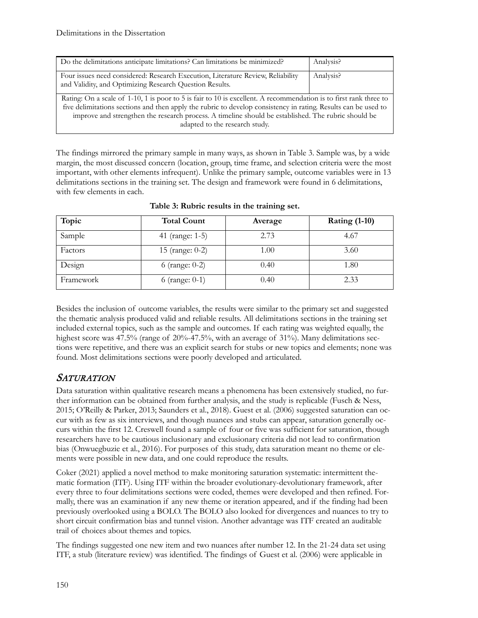| Do the delimitations anticipate limitations? Can limitations be minimized?                                                                                                                                                                                                                                                                                                   | Analysis? |  |
|------------------------------------------------------------------------------------------------------------------------------------------------------------------------------------------------------------------------------------------------------------------------------------------------------------------------------------------------------------------------------|-----------|--|
| Four issues need considered: Research Execution, Literature Review, Reliability<br>and Validity, and Optimizing Research Question Results.                                                                                                                                                                                                                                   | Analysis? |  |
| Rating: On a scale of 1-10, 1 is poor to 5 is fair to 10 is excellent. A recommendation is to first rank three to<br>five delimitations sections and then apply the rubric to develop consistency in rating. Results can be used to<br>improve and strengthen the research process. A timeline should be established. The rubric should be<br>adapted to the research study. |           |  |

The findings mirrored the primary sample in many ways, as shown in Table 3. Sample was, by a wide margin, the most discussed concern (location, group, time frame, and selection criteria were the most important, with other elements infrequent). Unlike the primary sample, outcome variables were in 13 delimitations sections in the training set. The design and framework were found in 6 delimitations, with few elements in each.

| Topic     | <b>Total Count</b> | Average | <b>Rating (1-10)</b> |
|-----------|--------------------|---------|----------------------|
| Sample    | 41 (range: 1-5)    | 2.73    | 4.67                 |
| Factors   | 15 (range: 0-2)    | 1.00    | 3.60                 |
| Design    | 6 (range: $0-2$ )  | 0.40    | 1.80                 |
| Framework | 6 (range: $0-1$ )  | 0.40    | 2.33                 |

**Table 3: Rubric results in the training set.**

Besides the inclusion of outcome variables, the results were similar to the primary set and suggested the thematic analysis produced valid and reliable results. All delimitations sections in the training set included external topics, such as the sample and outcomes. If each rating was weighted equally, the highest score was 47.5% (range of 20%-47.5%, with an average of 31%). Many delimitations sections were repetitive, and there was an explicit search for stubs or new topics and elements; none was found. Most delimitations sections were poorly developed and articulated.

## **SATURATION**

Data saturation within qualitative research means a phenomena has been extensively studied, no further information can be obtained from further analysis, and the study is replicable (Fusch & Ness, 2015; O'Reilly & Parker, 2013; Saunders et al., 2018). Guest et al. (2006) suggested saturation can occur with as few as six interviews, and though nuances and stubs can appear, saturation generally occurs within the first 12. Creswell found a sample of four or five was sufficient for saturation, though researchers have to be cautious inclusionary and exclusionary criteria did not lead to confirmation bias (Onwuegbuzie et al., 2016). For purposes of this study, data saturation meant no theme or elements were possible in new data, and one could reproduce the results.

Coker (2021) applied a novel method to make monitoring saturation systematic: intermittent thematic formation (ITF). Using ITF within the broader evolutionary-devolutionary framework, after every three to four delimitations sections were coded, themes were developed and then refined. Formally, there was an examination if any new theme or iteration appeared, and if the finding had been previously overlooked using a BOLO. The BOLO also looked for divergences and nuances to try to short circuit confirmation bias and tunnel vision. Another advantage was ITF created an auditable trail of choices about themes and topics.

The findings suggested one new item and two nuances after number 12. In the 21-24 data set using ITF, a stub (literature review) was identified. The findings of Guest et al. (2006) were applicable in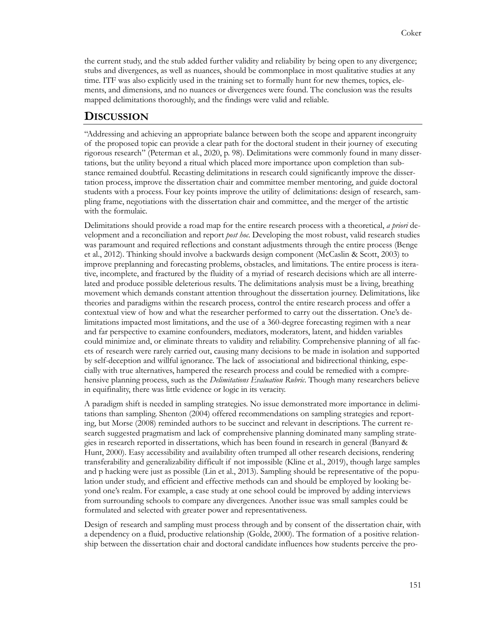the current study, and the stub added further validity and reliability by being open to any divergence; stubs and divergences, as well as nuances, should be commonplace in most qualitative studies at any time. ITF was also explicitly used in the training set to formally hunt for new themes, topics, elements, and dimensions, and no nuances or divergences were found. The conclusion was the results mapped delimitations thoroughly, and the findings were valid and reliable.

#### **DISCUSSION**

"Addressing and achieving an appropriate balance between both the scope and apparent incongruity of the proposed topic can provide a clear path for the doctoral student in their journey of executing rigorous research" (Peterman et al., 2020, p. 98). Delimitations were commonly found in many dissertations, but the utility beyond a ritual which placed more importance upon completion than substance remained doubtful. Recasting delimitations in research could significantly improve the dissertation process, improve the dissertation chair and committee member mentoring, and guide doctoral students with a process. Four key points improve the utility of delimitations: design of research, sampling frame, negotiations with the dissertation chair and committee, and the merger of the artistic with the formulaic.

Delimitations should provide a road map for the entire research process with a theoretical, *a priori* development and a reconciliation and report *post hoc*. Developing the most robust, valid research studies was paramount and required reflections and constant adjustments through the entire process (Benge et al., 2012). Thinking should involve a backwards design component (McCaslin & Scott, 2003) to improve preplanning and forecasting problems, obstacles, and limitations. The entire process is iterative, incomplete, and fractured by the fluidity of a myriad of research decisions which are all interrelated and produce possible deleterious results. The delimitations analysis must be a living, breathing movement which demands constant attention throughout the dissertation journey. Delimitations, like theories and paradigms within the research process, control the entire research process and offer a contextual view of how and what the researcher performed to carry out the dissertation. One's delimitations impacted most limitations, and the use of a 360-degree forecasting regimen with a near and far perspective to examine confounders, mediators, moderators, latent, and hidden variables could minimize and, or eliminate threats to validity and reliability. Comprehensive planning of all facets of research were rarely carried out, causing many decisions to be made in isolation and supported by self-deception and willful ignorance. The lack of associational and bidirectional thinking, especially with true alternatives, hampered the research process and could be remedied with a comprehensive planning process, such as the *Delimitations Evaluation Rubric*. Though many researchers believe in equifinality, there was little evidence or logic in its veracity.

A paradigm shift is needed in sampling strategies. No issue demonstrated more importance in delimitations than sampling. Shenton (2004) offered recommendations on sampling strategies and reporting, but Morse (2008) reminded authors to be succinct and relevant in descriptions. The current research suggested pragmatism and lack of comprehensive planning dominated many sampling strategies in research reported in dissertations, which has been found in research in general (Banyard & Hunt, 2000). Easy accessibility and availability often trumped all other research decisions, rendering transferability and generalizability difficult if not impossible (Kline et al., 2019), though large samples and p hacking were just as possible (Lin et al., 2013). Sampling should be representative of the population under study, and efficient and effective methods can and should be employed by looking beyond one's realm. For example, a case study at one school could be improved by adding interviews from surrounding schools to compare any divergences. Another issue was small samples could be formulated and selected with greater power and representativeness.

Design of research and sampling must process through and by consent of the dissertation chair, with a dependency on a fluid, productive relationship (Golde, 2000). The formation of a positive relationship between the dissertation chair and doctoral candidate influences how students perceive the pro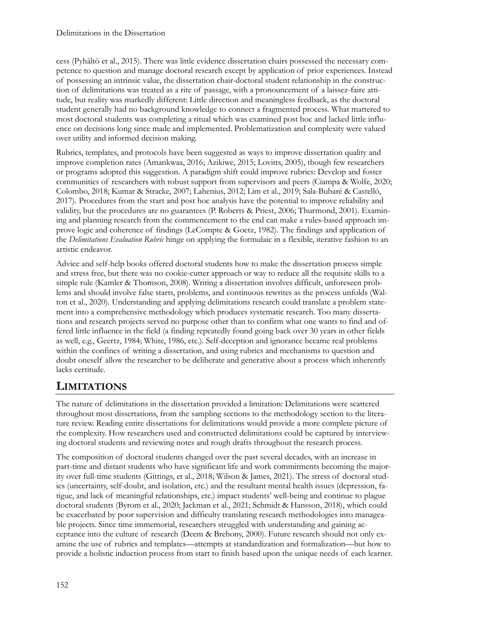cess (Pyhältö et al., 2015). There was little evidence dissertation chairs possessed the necessary competence to question and manage doctoral research except by application of prior experiences. Instead of possessing an intrinsic value, the dissertation chair-doctoral student relationship in the construction of delimitations was treated as a rite of passage, with a pronouncement of a laissez-faire attitude, but reality was markedly different: Little direction and meaningless feedback, as the doctoral student generally had no background knowledge to connect a fragmented process. What mattered to most doctoral students was completing a ritual which was examined post hoc and lacked little influence on decisions long since made and implemented. Problematization and complexity were valued over utility and informed decision making.

Rubrics, templates, and protocols have been suggested as ways to improve dissertation quality and improve completion rates (Amankwaa, 2016; Azikiwe, 2015; Lovitts, 2005), though few researchers or programs adopted this suggestion. A paradigm shift could improve rubrics: Develop and foster communities of researchers with robust support from supervisors and peers (Ciampa & Wolfe, 2020; Colombo, 2018; Kumar & Stracke, 2007; Lahenius, 2012; Lim et al., 2019; Sala-Bubaré & Castelló, 2017). Procedures from the start and post hoc analysis have the potential to improve reliability and validity, but the procedures are no guarantees (P. Roberts & Priest, 2006; Thurmond, 2001). Examining and planning research from the commencement to the end can make a rules-based approach improve logic and coherence of findings (LeCompte & Goetz, 1982). The findings and application of the *Delimitations Evaluation Rubric* hinge on applying the formulaic in a flexible, iterative fashion to an artistic endeavor.

Advice and self-help books offered doctoral students how to make the dissertation process simple and stress free, but there was no cookie-cutter approach or way to reduce all the requisite skills to a simple rule (Kamler & Thomson, 2008). Writing a dissertation involves difficult, unforeseen problems and should involve false starts, problems, and continuous rewrites as the process unfolds (Walton et al., 2020). Understanding and applying delimitations research could translate a problem statement into a comprehensive methodology which produces systematic research. Too many dissertations and research projects served no purpose other than to confirm what one wants to find and offered little influence in the field (a finding repeatedly found going back over 30 years in other fields as well, e.g., Geertz, 1984; White, 1986, etc.). Self-deception and ignorance became real problems within the confines of writing a dissertation, and using rubrics and mechanisms to question and doubt oneself allow the researcher to be deliberate and generative about a process which inherently lacks certitude.

# **LIMITATIONS**

The nature of delimitations in the dissertation provided a limitation: Delimitations were scattered throughout most dissertations, from the sampling sections to the methodology section to the literature review. Reading entire dissertations for delimitations would provide a more complete picture of the complexity. How researchers used and constructed delimitations could be captured by interviewing doctoral students and reviewing notes and rough drafts throughout the research process.

The composition of doctoral students changed over the past several decades, with an increase in part-time and distant students who have significant life and work commitments becoming the majority over full-time students (Gittings, et al., 2018; Wilson & James, 2021). The stress of doctoral studies (uncertainty, self-doubt, and isolation, etc.) and the resultant mental health issues (depression, fatigue, and lack of meaningful relationships, etc.) impact students' well-being and continue to plague doctoral students (Byrom et al., 2020; Jackman et al., 2021; Schmidt & Hansson, 2018), which could be exacerbated by poor supervision and difficulty translating research methodologies into manageable projects. Since time immemorial, researchers struggled with understanding and gaining acceptance into the culture of research (Deem & Brehony, 2000). Future research should not only examine the use of rubrics and templates—attempts at standardization and formalization—but how to provide a holistic induction process from start to finish based upon the unique needs of each learner.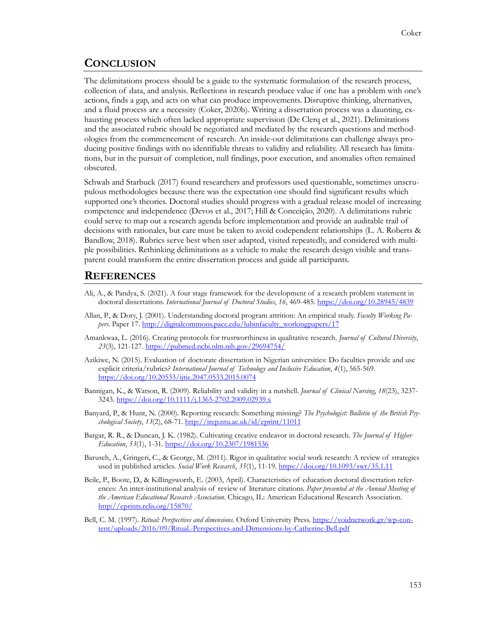## **CONCLUSION**

The delimitations process should be a guide to the systematic formulation of the research process, collection of data, and analysis. Reflections in research produce value if one has a problem with one's actions, finds a gap, and acts on what can produce improvements. Disruptive thinking, alternatives, and a fluid process are a necessity (Coker, 2020b). Writing a dissertation process was a daunting, exhausting process which often lacked appropriate supervision (De Clerq et al., 2021). Delimitations and the associated rubric should be negotiated and mediated by the research questions and methodologies from the commencement of research. An inside-out delimitations can challenge always producing positive findings with no identifiable threats to validity and reliability. All research has limitations, but in the pursuit of completion, null findings, poor execution, and anomalies often remained obscured.

Schwab and Starbuck (2017) found researchers and professors used questionable, sometimes unscrupulous methodologies because there was the expectation one should find significant results which supported one's theories. Doctoral studies should progress with a gradual release model of increasing competence and independence (Devos et al., 2017; Hill & Conceição, 2020). A delimitations rubric could serve to map out a research agenda before implementation and provide an auditable trail of decisions with rationales, but care must be taken to avoid codependent relationships (L. A. Roberts & Bandlow, 2018). Rubrics serve best when user adapted, visited repeatedly, and considered with multiple possibilities. Rethinking delimitations as a vehicle to make the research design visible and transparent could transform the entire dissertation process and guide all participants.

## **REFERENCES**

- Ali, A., & Pandya, S. (2021). A four stage framework for the development of a research problem statement in doctoral dissertations. *International Journal of Doctoral Studies*, *16*, 469-485[. https://doi.org/10.28945/4839](https://doi.org/10.28945/4839)
- Allan, P., & Dory, J. (2001). Understanding doctoral program attrition: An empirical study. *Faculty Working Papers*. Paper 17. [http://digitalcommons.pace.edu/lubinfaculty\\_workingpapers/17](http://digitalcommons.pace.edu/lubinfaculty_workingpapers/17)
- Amankwaa, L. (2016). Creating protocols for trustworthiness in qualitative research. *Journal of Cultural Diversity*, *23*(3), 121-127. <https://pubmed.ncbi.nlm.nih.gov/29694754/>
- Azikiwe, N. (2015). Evaluation of doctorate dissertation in Nigerian universities: Do faculties provide and use explicit criteria/rubrics? *International Journal of Technology and Inclusive Education*, *4*(1), 565-569. <https://doi.org/10.20533/ijtie.2047.0533.2015.0074>
- Bannigan, K., & Watson, R. (2009). Reliability and validity in a nutshell. *Journal of Clinical Nursing*, *18*(23), 3237- 3243. [https://doi.org/10.1111/j.1365](https://doi.org/10.1111/j.1365-2702.2009.02939.x)-2702.2009.02939.x
- Banyard, P., & Hunt, N. (2000). Reporting research: Something missing? *The Psychologist: Bulletin of the British Psychological Society*, *13*(2), 68-71.<http://irep.ntu.ac.uk/id/eprint/11011>
- Bargar, R. R., & Duncan, J. K. (1982). Cultivating creative endeavor in doctoral research. *The Journal of Higher Education*, *53*(1), 1-31. <https://doi.org/10.2307/1981536>
- Barusch, A., Gringeri, C., & George, M. (2011). Rigor in qualitative social work research: A review of strategies used in published articles. *Social Work Research*, *35*(1), 11-19.<https://doi.org/10.1093/swr/35.1.11>
- Beile, P., Boote, D., & Killingsworth, E. (2003, April). Characteristics of education doctoral dissertation references: An inter-institutional analysis of review of literature citations. *Paper presented at the Annual Meeting of the American Educational Research Association*. Chicago, IL: American Educational Research Association. <http://eprints.rclis.org/15870/>
- Bell, C. M. (1997). *Ritual: Perspectives and dimensions.* Oxford University Press. [https://voidnetwork.gr/wp](https://voidnetwork.gr/wp-content/uploads/2016/09/Ritual.-Perspectives-and-Dimensions-by-Catherine-Bell.pdf)-con[tent/uploads/2016/09/Ritual.](https://voidnetwork.gr/wp-content/uploads/2016/09/Ritual.-Perspectives-and-Dimensions-by-Catherine-Bell.pdf)-Perspectives-and-Dimensions-by-Catherine-Bell.pdf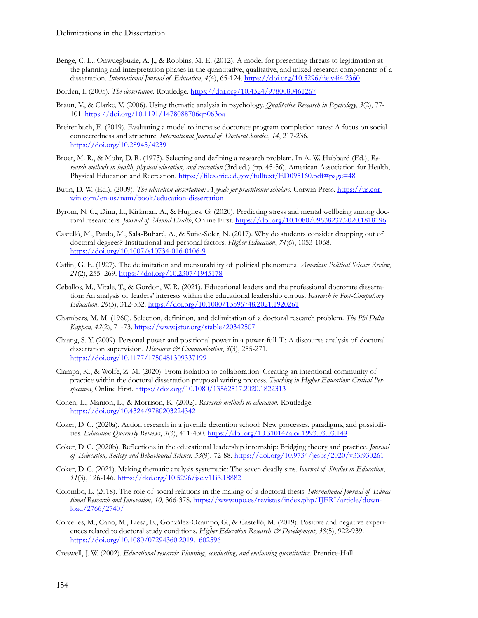- Benge, C. L., Onwuegbuzie, A. J., & Robbins, M. E. (2012). A model for presenting threats to legitimation at the planning and interpretation phases in the quantitative, qualitative, and mixed research components of a dissertation. *International Journal of Education*, *4*(4), 65-124. <https://doi.org/10.5296/ije.v4i4.2360>
- Borden, I. (2005). *The dissertation.* Routledge. <https://doi.org/10.4324/9780080461267>
- Braun, V., & Clarke, V. (2006). Using thematic analysis in psychology. *Qualitative Research in Psychology*, *3*(2), 77- 101. <https://doi.org/10.1191/1478088706qp063oa>
- Breitenbach, E. (2019). Evaluating a model to increase doctorate program completion rates: A focus on social connectedness and structure. *International Journal of Doctoral Studies*, *14*, 217-236. <https://doi.org/10.28945/4239>
- Broer, M. R., & Mohr, D. R. (1973). Selecting and defining a research problem. In A. W. Hubbard (Ed.), *Research methods in health, physical education, and recreation* (3rd ed.) (pp. 45-56). American Association for Health, Physical Education and Recreation. <https://files.eric.ed.gov/fulltext/ED095160.pdf#page=48>
- Butin, D. W. (Ed.). (2009). *The education dissertation: A guide for practitioner scholars*. Corwin Press. [https://us.cor](https://us.corwin.com/en-us/nam/book/education-dissertation)win.com/en-[us/nam/book/education](https://us.corwin.com/en-us/nam/book/education-dissertation)-dissertation
- Byrom, N. C., Dinu, L., Kirkman, A., & Hughes, G. (2020). Predicting stress and mental wellbeing among doctoral researchers. *Journal of Mental Health*, Online First. <https://doi.org/10.1080/09638237.2020.1818196>
- Castelló, M., Pardo, M., Sala-Bubaré, A., & Suñe-Soler, N. (2017). Why do students consider dropping out of doctoral degrees? Institutional and personal factors. *Higher Education*, *74*(6), 1053-1068. [https://doi.org/10.1007/s10734](https://doi.org/10.1007/s10734-016-0106-9)-016-0106-9
- Catlin, G. E. (1927). The delimitation and mensurability of political phenomena. *American Political Science Review*, *21*(2), 255–269. <https://doi.org/10.2307/1945178>
- Ceballos, M., Vitale, T., & Gordon, W. R. (2021). Educational leaders and the professional doctorate dissertation: An analysis of leaders' interests within the educational leadership corpus. *Research in Post-Compulsory Education*, *26*(3), 312-332. <https://doi.org/10.1080/13596748.2021.1920261>
- Chambers, M. M. (1960). Selection, definition, and delimitation of a doctoral research problem. *The Phi Delta Kappan*, *42*(2), 71-73. <https://www.jstor.org/stable/20342507>
- Chiang, S. Y. (2009). Personal power and positional power in a power-full 'I': A discourse analysis of doctoral dissertation supervision. *Discourse & Communication*, 3(3), 255-271. <https://doi.org/10.1177/1750481309337199>
- Ciampa, K., & Wolfe, Z. M. (2020). From isolation to collaboration: Creating an intentional community of practice within the doctoral dissertation proposal writing process. *Teaching in Higher Education: Critical Perspectives*, Online First. <https://doi.org/10.1080/13562517.2020.1822313>
- Cohen, L., Manion, L., & Morrison, K. (2002). *Research methods in education.* Routledge. <https://doi.org/10.4324/9780203224342>
- Coker, D. C. (2020a). Action research in a juvenile detention school: New processes, paradigms, and possibilities. *Education Quarterly Reviews*, *3*(3), 411-430.<https://doi.org/10.31014/aior.1993.03.03.149>
- Coker, D. C. (2020b). Reflections in the educational leadership internship: Bridging theory and practice. *Journal of Education, Society and Behavioural Science*, *33*(9), 72-88.<https://doi.org/10.9734/jesbs/2020/v33i930261>
- Coker, D. C. (2021). Making thematic analysis systematic: The seven deadly sins. *Journal of Studies in Education*, *11*(3), 126-146.<https://doi.org/10.5296/jse.v11i3.18882>
- Colombo, L. (2018). The role of social relations in the making of a doctoral thesis. *International Journal of Educational Research and Innovation*, *10*, 366-378. [https://www.upo.es/revistas/index.php/IJERI/article/down](https://www.upo.es/revistas/index.php/IJERI/article/download/2766/2740/)[load/2766/2740/](https://www.upo.es/revistas/index.php/IJERI/article/download/2766/2740/)
- Corcelles, M., Cano, M., Liesa, E., González-Ocampo, G., & Castelló, M. (2019). Positive and negative experiences related to doctoral study conditions. *Higher Education Research & Development*, *38*(5), 922-939. <https://doi.org/10.1080/07294360.2019.1602596>
- Creswell, J. W. (2002). *Educational research: Planning, conducting, and evaluating quantitative.* Prentice-Hall.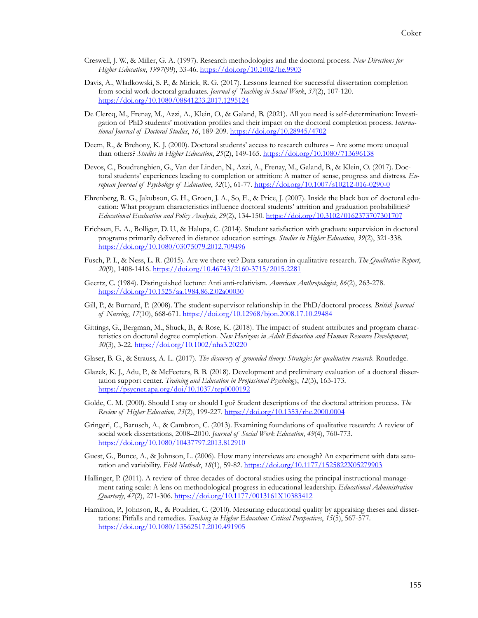- Creswell, J. W., & Miller, G. A. (1997). Research methodologies and the doctoral process. *New Directions for Higher Education*, *1997*(99), 33-46.<https://doi.org/10.1002/he.9903>
- Davis, A., Wladkowski, S. P., & Mirick, R. G. (2017). Lessons learned for successful dissertation completion from social work doctoral graduates. *Journal of Teaching in Social Work*, *37*(2), 107-120. <https://doi.org/10.1080/08841233.2017.1295124>
- De Clercq, M., Frenay, M., Azzi, A., Klein, O., & Galand, B. (2021). All you need is self-determination: Investigation of PhD students' motivation profiles and their impact on the doctoral completion process. *International Journal of Doctoral Studies*, *16*, 189-209.<https://doi.org/10.28945/4702>
- Deem, R., & Brehony, K. J. (2000). Doctoral students' access to research cultures Are some more unequal than others? *Studies in Higher Education*, *25*(2), 149-165.<https://doi.org/10.1080/713696138>
- Devos, C., Boudrenghien, G., Van der Linden, N., Azzi, A., Frenay, M., Galand, B., & Klein, O. (2017). Doctoral students' experiences leading to completion or attrition: A matter of sense, progress and distress. *European Journal of Psychology of Education*, *32*(1), 61-77. [https://doi.org/10.1007/s10212](https://doi.org/10.1007/s10212-016-0290-0)-016-0290-0
- Ehrenberg, R. G., Jakubson, G. H., Groen, J. A., So, E., & Price, J. (2007). Inside the black box of doctoral education: What program characteristics influence doctoral students' attrition and graduation probabilities? *Educational Evaluation and Policy Analysis*, *29*(2), 134-150.<https://doi.org/10.3102/0162373707301707>
- Erichsen, E. A., Bolliger, D. U., & Halupa, C. (2014). Student satisfaction with graduate supervision in doctoral programs primarily delivered in distance education settings. *Studies in Higher Education*, *39*(2), 321-338. <https://doi.org/10.1080/03075079.2012.709496>
- Fusch, P. I., & Ness, L. R. (2015). Are we there yet? Data saturation in qualitative research. *The Qualitative Report*, *20*(9), 1408-1416. [https://doi.org/10.46743/2160](https://doi.org/10.46743/2160-3715/2015.2281)-3715/2015.2281
- Geertz, C. (1984). Distinguished lecture: Anti anti‐relativism. *American Anthropologist*, *86*(2), 263-278. <https://doi.org/10.1525/aa.1984.86.2.02a00030>
- Gill, P., & Burnard, P. (2008). The student-supervisor relationship in the PhD/doctoral process. *British Journal of Nursing*, *17*(10), 668-671. <https://doi.org/10.12968/bjon.2008.17.10.29484>
- Gittings, G., Bergman, M., Shuck, B., & Rose, K. (2018). The impact of student attributes and program characteristics on doctoral degree completion. *New Horizons in Adult Education and Human Resource Development*, *30*(3), 3-22. <https://doi.org/10.1002/nha3.20220>
- Glaser, B. G., & Strauss, A. L. (2017). *The discovery of grounded theory: Strategies for qualitative research.* Routledge.
- Glazek, K. J., Adu, P., & McFeeters, B. B. (2018). Development and preliminary evaluation of a doctoral dissertation support center. *Training and Education in Professional Psychology*, *12*(3), 163-173. <https://psycnet.apa.org/doi/10.1037/tep0000192>
- Golde, C. M. (2000). Should I stay or should I go? Student descriptions of the doctoral attrition process. *The Review of Higher Education*, *23*(2), 199-227. <https://doi.org/10.1353/rhe.2000.0004>
- Gringeri, C., Barusch, A., & Cambron, C. (2013). Examining foundations of qualitative research: A review of social work dissertations, 2008–2010. *Journal of Social Work Education*, *49*(4), 760-773. <https://doi.org/10.1080/10437797.2013.812910>
- Guest, G., Bunce, A., & Johnson, L. (2006). How many interviews are enough? An experiment with data saturation and variability. *Field Methods*, *18*(1), 59-82. <https://doi.org/10.1177/1525822X05279903>
- Hallinger, P. (2011). A review of three decades of doctoral studies using the principal instructional management rating scale: A lens on methodological progress in educational leadership. *Educational Administration Quarterly*, *47*(2), 271-306. <https://doi.org/10.1177/0013161X10383412>
- Hamilton, P., Johnson, R., & Poudrier, C. (2010). Measuring educational quality by appraising theses and dissertations: Pitfalls and remedies. *Teaching in Higher Education: Critical Perspectives*, *15*(5), 567-577. <https://doi.org/10.1080/13562517.2010.491905>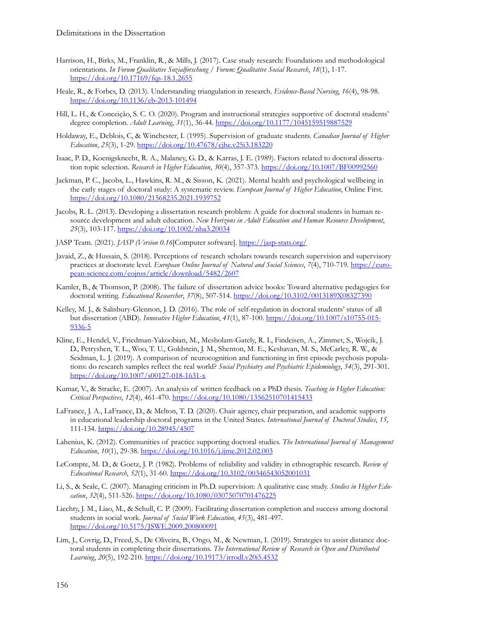- Harrison, H., Birks, M., Franklin, R., & Mills, J. (2017). Case study research: Foundations and methodological orientations. *In Forum Qualitative Sozialforschung / Forum: Qualitative Social Research*, *18*(1), 1-17. [https://doi.org/10.17169/fqs](https://doi.org/10.17169/fqs-18.1.2655)-18.1.2655
- Heale, R., & Forbes, D. (2013). Understanding triangulation in research. *Evidence-Based Nursing*, *16*(4), 98-98. [https://doi.org/10.1136/eb](https://doi.org/10.1136/eb-2013-101494)-2013-101494
- Hill, L. H., & Conceição, S. C. O. (2020). Program and instructional strategies supportive of doctoral students' degree completion. *Adult Learning*, *31*(1), 36-44. <https://doi.org/10.1177/1045159519887529>
- Holdaway, E., Deblois, C, & Winchester, I. (1995). Supervision of graduate students. *Canadian Journal of Higher Education*, *25*(3), 1-29[. https://doi.org/10.47678/cjhe.v25i3.183220](https://doi.org/10.47678/cjhe.v25i3.183220)
- Isaac, P. D., Koenigsknecht, R. A., Malaney, G. D., & Karras, J. E. (1989). Factors related to doctoral dissertation topic selection. *Research in Higher Education*, 30(4), 357-373.<https://doi.org/10.1007/BF00992560>
- Jackman, P. C., Jacobs, L., Hawkins, R. M., & Sisson, K. (2021). Mental health and psychological wellbeing in the early stages of doctoral study: A systematic review. *European Journal of Higher Education*, Online First. <https://doi.org/10.1080/21568235.2021.1939752>
- Jacobs, R. L. (2013). Developing a dissertation research problem: A guide for doctoral students in human resource development and adult education. *New Horizons in Adult Education and Human Resource Development*, *25*(3), 103-117.<https://doi.org/10.1002/nha3.20034>
- JASP Team. (2021). *JASP (Version 0.16*[Computer software]. [https://jasp](https://www.jasp-stats.org/)-stats.org/
- Javaid, Z., & Hussain, S. (2018). Perceptions of research scholars towards research supervision and supervisory practices at doctorate level. *European Online Journal of Natural and Social Sciences*, *7*(4), 710-719. [https://euro](https://european-science.com/eojnss/article/download/5482/2607)pean-[science.com/eojnss/article/download/5482/2607](https://european-science.com/eojnss/article/download/5482/2607)
- Kamler, B., & Thomson, P. (2008). The failure of dissertation advice books: Toward alternative pedagogies for doctoral writing. *Educational Researcher*, *37*(8), 507-514.<https://doi.org/10.3102/0013189X08327390>
- Kelley, M. J., & Salisbury-Glennon, J. D. (2016). The role of self-regulation in doctoral students' status of all but dissertation (ABD). *Innovative Higher Education*, *41*(1), 87-100. [https://doi.org/10.1007/s10755](https://doi.org/10.1007/s10755-015-9336-5)-015- [9336](https://doi.org/10.1007/s10755-015-9336-5)-5
- Kline, E., Hendel, V., Friedman-Yakoobian, M., Mesholam-Gately, R. I., Findeisen, A., Zimmet, S., Wojcik, J. D., Petryshen, T. L., Woo, T. U., Goldstein, J. M., Shenton, M. E., Keshavan, M. S., McCarley, R. W., & Seidman, L. J. (2019). A comparison of neurocognition and functioning in first episode psychosis populations: do research samples reflect the real world? *Social Psychiatry and Psychiatric Epidemiology*, *54*(3), 291-301. [https://doi.org/10.1007/s00127](https://doi.org/10.1007/s00127-018-1631-x)-018-1631-x
- Kumar, V., & Stracke, E. (2007). An analysis of written feedback on a PhD thesis. *Teaching in Higher Education: Critical Perspectives*, *12*(4), 461-470. <https://doi.org/10.1080/13562510701415433>
- LaFrance, J. A., LaFrance, D., & Melton, T. D. (2020). Chair agency, chair preparation, and academic supports in educational leadership doctoral programs in the United States. *International Journal of Doctoral Studies*, *15*, 111-134.<https://doi.org/10.28945/4507>
- Lahenius, K. (2012). Communities of practice supporting doctoral studies. *The International Journal of Management Education*, *10*(1), 29-38.<https://doi.org/10.1016/j.ijme.2012.02.003>
- LeCompte, M. D., & Goetz, J. P. (1982). Problems of reliability and validity in ethnographic research. *Review of Educational Research*, *52*(1), 31-60.<https://doi.org/10.3102/00346543052001031>
- Li, S., & Seale, C. (2007). Managing criticism in Ph.D. supervision: A qualitative case study. *Studies in Higher Education*, *32*(4), 511-526. <https://doi.org/10.1080/03075070701476225>
- Liechty, J. M., Liao, M., & Schull, C. P. (2009). Facilitating dissertation completion and success among doctoral students in social work. *Journal of Social Work Education*, *45*(3), 481-497. <https://doi.org/10.5175/JSWE.2009.200800091>
- Lim, J., Covrig, D., Freed, S., De Oliveira, B., Ongo, M., & Newman, I. (2019). Strategies to assist distance doctoral students in completing their dissertations. *The International Review of Research in Open and Distributed Learning*, *20*(5), 192-210.<https://doi.org/10.19173/irrodl.v20i5.4532>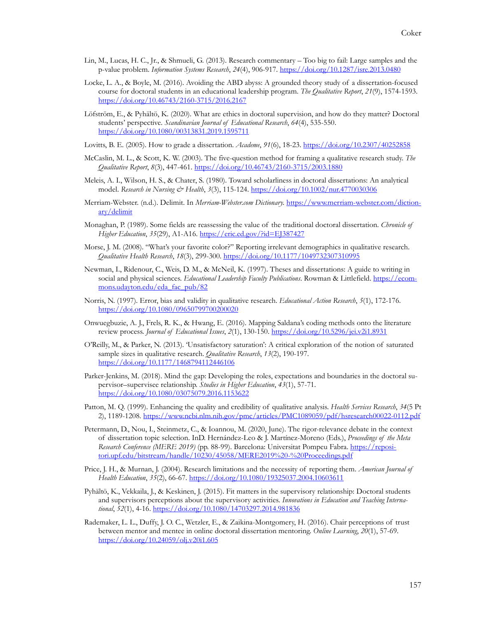- Lin, M., Lucas, H. C., Jr., & Shmueli, G. (2013). Research commentary Too big to fail: Large samples and the p-value problem. *Information Systems Research*, *24*(4), 906-917[. https://doi.org/10.1287/isre.2013.0480](https://doi.org/10.1287/isre.2013.0480)
- Locke, L. A., & Boyle, M. (2016). Avoiding the ABD abyss: A grounded theory study of a dissertation-focused course for doctoral students in an educational leadership program. *The Qualitative Report*, *21*(9), 1574-1593. [https://doi.org/10.46743/2160](https://doi.org/10.46743/2160-3715/2016.2167)-3715/2016.2167
- Löfström, E., & Pyhältö, K. (2020). What are ethics in doctoral supervision, and how do they matter? Doctoral students' perspective. *Scandinavian Journal of Educational Research*, *64*(4), 535-550. <https://doi.org/10.1080/00313831.2019.1595711>
- Lovitts, B. E. (2005). How to grade a dissertation. *Academe*, *91*(6), 18-23. <https://doi.org/10.2307/40252858>
- McCaslin, M. L., & Scott, K. W. (2003). The five-question method for framing a qualitative research study. *The Qualitative Report*, *8*(3), 447-461. [https://doi.org/10.46743/2160](https://doi.org/10.46743/2160-3715/2003.1880)-3715/2003.1880
- Meleis, A. I., Wilson, H. S., & Chater, S. (1980). Toward scholarliness in doctoral dissertations: An analytical model. *Research in Nursing & Health*, *3*(3), 115-124.<https://doi.org/10.1002/nur.4770030306>
- Merriam-Webster. (n.d.). Delimit. In *Merriam-Webster.com Dictionary.* [https://www.merriam](https://www.merriam-webster.com/dictionary/delimit)-webster.com/diction[ary/delimit](https://www.merriam-webster.com/dictionary/delimit)
- Monaghan, P. (1989). Some fields are reassessing the value of the traditional doctoral dissertation. *Chronicle of Higher Education*, *35*(29), A1-A16. <https://eric.ed.gov/?id=EJ387427>
- Morse, J. M. (2008). "What's your favorite color?" Reporting irrelevant demographics in qualitative research. *Qualitative Health Research*, *18*(3), 299-300.<https://doi.org/10.1177/1049732307310995>
- Newman, I., Ridenour, C., Weis, D. M., & McNeil, K. (1997). Theses and dissertations: A guide to writing in social and physical sciences. *Educational Leadership Faculty Publications*. Rowman & Littlefield. [https://ecom](https://ecommons.udayton.edu/eda_fac_pub/82)[mons.udayton.edu/eda\\_fac\\_pub/82](https://ecommons.udayton.edu/eda_fac_pub/82)
- Norris, N. (1997). Error, bias and validity in qualitative research. *Educational Action Research*, *5*(1), 172-176. <https://doi.org/10.1080/09650799700200020>
- Onwuegbuzie, A. J., Frels, R. K., & Hwang, E. (2016). Mapping Saldana's coding methods onto the literature review process. *Journal of Educational Issues*, *2*(1), 130-150.<https://doi.org/10.5296/jei.v2i1.8931>
- O'Reilly, M., & Parker, N. (2013). 'Unsatisfactory saturation': A critical exploration of the notion of saturated sample sizes in qualitative research. *Qualitative Research*, *13*(2), 190-197. <https://doi.org/10.1177/1468794112446106>
- Parker-Jenkins, M. (2018). Mind the gap: Developing the roles, expectations and boundaries in the doctoral supervisor–supervisee relationship. *Studies in Higher Education*, *43*(1), 57-71. <https://doi.org/10.1080/03075079.2016.1153622>
- Patton, M. Q. (1999). Enhancing the quality and credibility of qualitative analysis. *Health Services Research*, *34*(5 Pt 2), 1189-1208. [https://www.ncbi.nlm.nih.gov/pmc/articles/PMC1089059/pdf/hsresearch00022](https://www.ncbi.nlm.nih.gov/pmc/articles/PMC1089059/pdf/hsresearch00022-0112.pdf)-0112.pdf
- Petermann, D., Nou, I., Steinmetz, C., & Ioannou, M. (2020, June). The rigor-relevance debate in the context of dissertation topic selection. InD. Hernández-Leo & J. Martínez-Moreno (Eds.), *Proceedings of the Meta Research Conference (MERE 2019)* (pp. 88-99). Barcelona: Universitat Pompeu Fabra. [https://reposi](https://repositori.upf.edu/bitstream/handle/10230/45058/MERE2019%20-%20Proceedings.pdf)[tori.upf.edu/bitstream/handle/10230/45058/MERE2019%20](https://repositori.upf.edu/bitstream/handle/10230/45058/MERE2019%20-%20Proceedings.pdf)-%20Proceedings.pdf
- Price, J. H., & Murnan, J. (2004). Research limitations and the necessity of reporting them. *American Journal of Health Education*, *35*(2), 66-67.<https://doi.org/10.1080/19325037.2004.10603611>
- Pyhältö, K., Vekkaila, J., & Keskinen, J. (2015). Fit matters in the supervisory relationship: Doctoral students and supervisors perceptions about the supervisory activities. *Innovations in Education and Teaching International*, *52*(1), 4-16. <https://doi.org/10.1080/14703297.2014.981836>
- Rademaker, L. L., Duffy, J. O. C., Wetzler, E., & Zaikina-Montgomery, H. (2016). Chair perceptions of trust between mentor and mentee in online doctoral dissertation mentoring. *Online Learning*, *20*(1), 57-69. <https://doi.org/10.24059/olj.v20i1.605>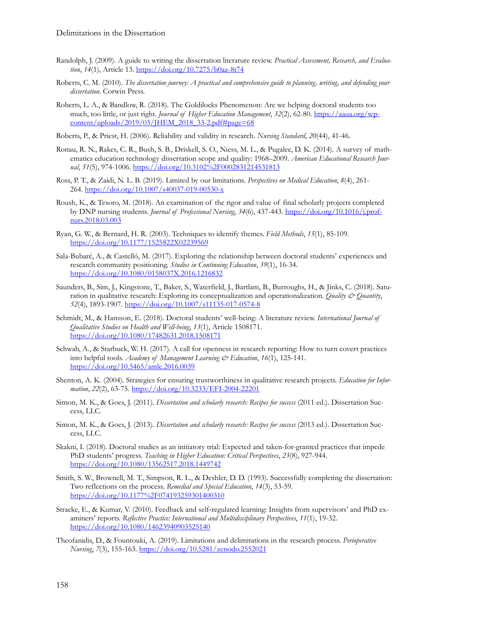- Randolph, J. (2009). A guide to writing the dissertation literature review. *Practical Assessment, Research, and Evaluation*, *14*(1), Article 13. [https://doi.org/10.7275/b0az](https://doi.org/10.7275/b0az-8t74)-8t74
- Roberts, C. M. (2010). *The dissertation journey: A practical and comprehensive guide to planning, writing, and defending your dissertation.* Corwin Press.
- Roberts, L. A., & Bandlow, R. (2018). The Goldilocks Phenomenon: Are we helping doctoral students too much, too little, or just right. *Journal of Higher Education Management*, *32*(2), 62-80. [https://aaua.org/wp](https://aaua.org/wp-content/uploads/2019/03/JHEM_2018_33-2.pdf#page=68)[content/uploads/2019/03/JHEM\\_2018\\_33](https://aaua.org/wp-content/uploads/2019/03/JHEM_2018_33-2.pdf#page=68)-2.pdf#page=68
- Roberts, P., & Priest, H. (2006). Reliability and validity in research. *Nursing Standard*, *20*(44), 41-46.
- Ronau, R. N., Rakes, C. R., Bush, S. B., Driskell, S. O., Niess, M. L., & Pugalee, D. K. (2014). A survey of mathematics education technology dissertation scope and quality: 1968–2009. *American Educational Research Journal*, *51*(5), 974-1006.<https://doi.org/10.3102%2F0002831214531813>
- Ross, P. T., & Zaidi, N. L. B. (2019). Limited by our limitations. *Perspectives on Medical Education*, *8*(4), 261- 264. [https://doi.org/10.1007/s40037](https://doi.org/10.1007/s40037-019-00530-x)-019-00530-x
- Roush, K., & Tesoro, M. (2018). An examination of the rigor and value of final scholarly projects completed by DNP nursing students. *Journal of Professional Nursing*, *34*(6), 437-443[. https://doi.org/10.1016/j.prof](https://doi.org/10.1016/j.profnurs.2018.03.003)[nurs.2018.03.003](https://doi.org/10.1016/j.profnurs.2018.03.003)
- Ryan, G. W., & Bernard, H. R. (2003). Techniques to identify themes. *Field Methods*, *15*(1), 85-109. <https://doi.org/10.1177/1525822X02239569>
- Sala-Bubaré, A., & Castelló, M. (2017). Exploring the relationship between doctoral students' experiences and research community positioning. *Studies in Continuing Education*, *39*(1), 16-34. <https://doi.org/10.1080/0158037X.2016.1216832>
- Saunders, B., Sim, J., Kingstone, T., Baker, S., Waterfield, J., Bartlam, B., Burroughs, H., & Jinks, C. (2018). Saturation in qualitative research: Exploring its conceptualization and operationalization. *Quality & Quantity*, *52*(4), 1893-1907. [https://doi.org/10.1007/s11135](https://doi.org/10.1007/s11135-017-0574-8)-017-0574-8
- Schmidt, M., & Hansson, E. (2018). Doctoral students' well-being: A literature review. *International Journal of Qualitative Studies on Health and Well-being*, *13*(1), Article 1508171. <https://doi.org/10.1080/17482631.2018.1508171>
- Schwab, A., & Starbuck, W. H. (2017). A call for openness in research reporting: How to turn covert practices into helpful tools. *Academy of Management Learning & Education*, *16*(1), 125-141. <https://doi.org/10.5465/amle.2016.0039>
- Shenton, A. K. (2004). Strategies for ensuring trustworthiness in qualitative research projects. *Education for Information*, *22*(2), 63-75[. https://doi.org/10.3233/EFI](https://doi.org/10.3233/EFI-2004-22201)-2004-22201
- Simon, M. K., & Goes, J. (2011). *Dissertation and scholarly research: Recipes for success* (2011 ed.). Dissertation Success, LLC.
- Simon, M. K., & Goes, J. (2013). *Dissertation and scholarly research: Recipes for success* (2013 ed.). Dissertation Success, LLC.
- Skakni, I. (2018). Doctoral studies as an initiatory trial: Expected and taken-for-granted practices that impede PhD students' progress. *Teaching in Higher Education: Critical Perspectives*, *23*(8), 927-944. <https://doi.org/10.1080/13562517.2018.1449742>
- Smith, S. W., Brownell, M. T., Simpson, R. L., & Deshler, D. D. (1993). Successfully completing the dissertation: Two reflections on the process. *Remedial and Special Education*, *14*(3), 53-59. <https://doi.org/10.1177%2F074193259301400310>
- Stracke, E., & Kumar, V. (2010). Feedback and self-regulated learning: Insights from supervisors' and PhD examiners' reports. *Reflective Practice: International and Multidisciplinary Perspectives*, *11*(1), 19-32. <https://doi.org/10.1080/14623940903525140>
- Theofanidis, D., & Fountouki, A. (2019). Limitations and delimitations in the research process. *Perioperative Nursing*, *7*(3), 155-163.<https://doi.org/10.5281/zenodo.2552021>